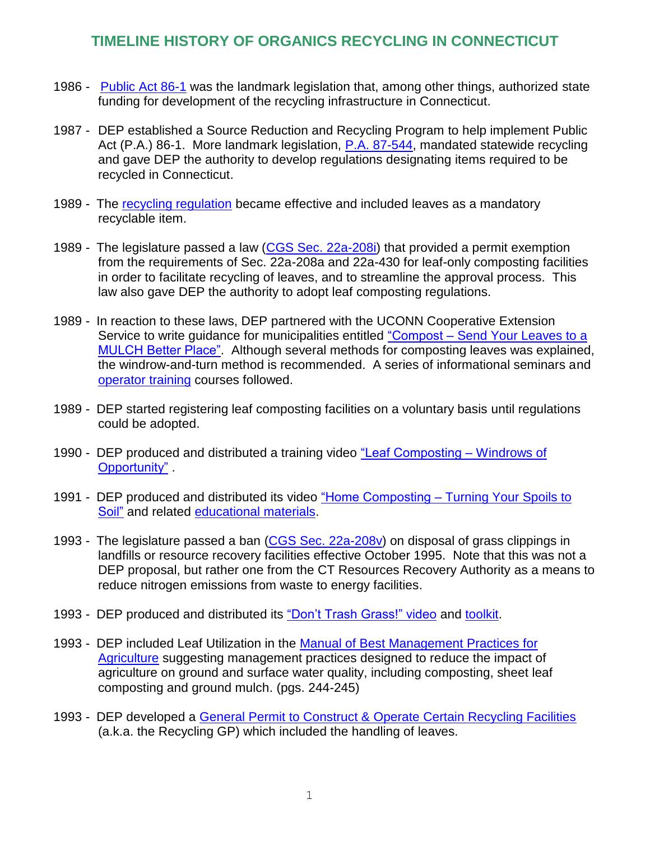## **TIMELINE HISTORY OF ORGANICS RECYCLING IN CONNECTICUT**

- 1986 [Public Act 86-1](http://www.ct.gov/deep/lib/deep/reduce_reuse_recycle/laws_and_regulations/PA_86_1.pdf) was the landmark legislation that, among other things, authorized state funding for development of the recycling infrastructure in Connecticut.
- 1987 DEP established a Source Reduction and Recycling Program to help implement Public Act (P.A.) 86-1. More landmark legislation, P.A. [87-544,](http://www.ct.gov/deep/lib/deep/reduce_reuse_recycle/laws_and_regulations/PA_87_544.pdf) mandated statewide recycling and gave DEP the authority to develop regulations designating items required to be recycled in Connecticut.
- 1989 The [recycling regulation](http://www.ct.gov/deep/lib/deep/regulations/22a/22a-241b-1through4.pdf) became effective and included leaves as a mandatory recyclable item.
- 1989 The legislature passed a law [\(CGS Sec. 22a-208i\)](http://www.cga.ct.gov/current/pub/chap_446d.htm#sec_22a-208i) that provided a permit exemption from the requirements of Sec. 22a-208a and 22a-430 for leaf-only composting facilities in order to facilitate recycling of leaves, and to streamline the approval process. This law also gave DEP the authority to adopt leaf composting regulations.
- 1989 In reaction to these laws, DEP partnered with the UCONN Cooperative Extension Service to write guidance for municipalities entitled "Compost – Send Your Leaves to a [MULCH Better Place".](http://www.ct.gov/deep/lib/deep/compost/compost_pdf/compost_send_your_leaves_to_a_mulch_better_place.pdf) Although several methods for composting leaves was explained, the windrow-and-turn method is recommended. A series of informational seminars and [operator training](http://www.ct.gov/deep/lib/deep/compost/compost_pdf/operators_notes_for_a_short_course_on_municipal_leaf_composting.pdf) courses followed.
- 1989 DEP started registering leaf composting facilities on a voluntary basis until regulations could be adopted.
- 1990 DEP produced and distributed a training video ["Leaf Composting –](http://www.ct.gov/deep/cwp/view.asp?a=2718&q=399598&deepNav_GID=1645%23LeafCompostingVideo#LeafCompostingVideo) Windrows of [Opportunity"](http://www.ct.gov/deep/cwp/view.asp?a=2718&q=399598&deepNav_GID=1645%23LeafCompostingVideo#LeafCompostingVideo) .
- 1991 DEP produced and distributed its video "Home Composting [Turning Your Spoils to](http://www.ct.gov/deep/cwp/view.asp?a=2718&q=399598&deepNav_GID=1645#Home)  [Soil"](http://www.ct.gov/deep/cwp/view.asp?a=2718&q=399598&deepNav_GID=1645#Home) and related [educational materials.](http://www.ct.gov/deep/cwp/view.asp?a=2718&q=325344&deepNav_GID=1645#Home)
- 1993 The legislature passed a ban [\(CGS Sec. 22a-208v\)](http://www.cga.ct.gov/current/pub/chap_446d.htm#sec_22a-208v) on disposal of grass clippings in landfills or resource recovery facilities effective October 1995. Note that this was not a DEP proposal, but rather one from the CT Resources Recovery Authority as a means to reduce nitrogen emissions from waste to energy facilities.
- 1993 DEP produced and distributed its ["Don't Trash Grass!" video](http://www.ct.gov/deep/cwp/view.asp?a=2718&q=399598&deepNav_GID=1645%23Home#DontTrashGrassVideo) and [toolkit.](http://www.ct.gov/deep/cwp/view.asp?a=2718&q=325344&deepNav_GID=1645%23Grass#Grass)
- 1993 DEP included Leaf Utilization in the [Manual of Best Management Practices for](http://www.ct.gov/deep/lib/deep/aquifer_protection/bmps_agriculture.pdf)  [Agriculture](http://www.ct.gov/deep/lib/deep/aquifer_protection/bmps_agriculture.pdf) suggesting management practices designed to reduce the impact of agriculture on ground and surface water quality, including composting, sheet leaf composting and ground mulch. (pgs. 244-245)
- 1993 DEP developed a [General Permit to Construct & Operate Certain Recycling Facilities](http://www.ct.gov/deep/cwp/view.asp?a=2709&q=324210&deepNav_GID=1643#RecyclingGP) (a.k.a. the Recycling GP) which included the handling of leaves.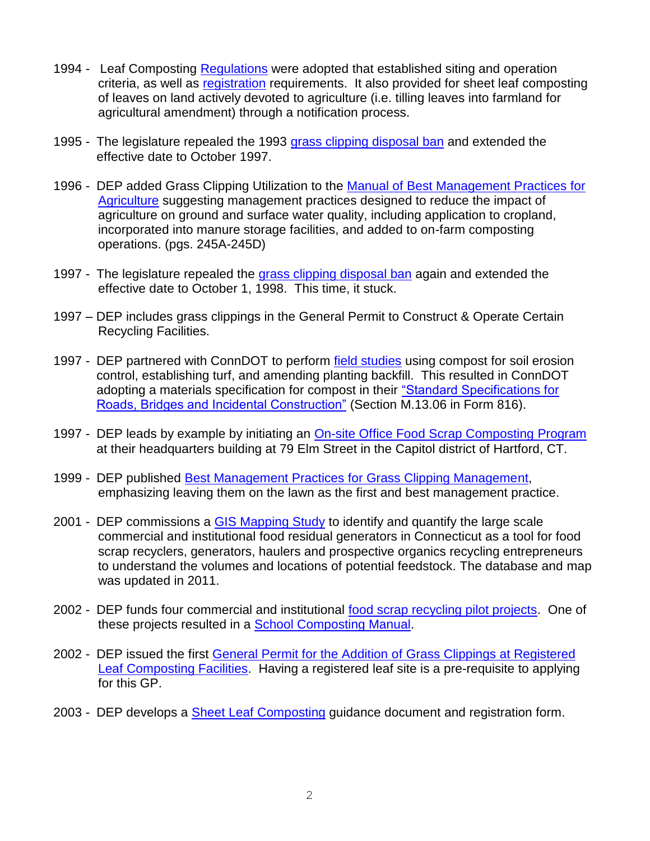- 1994 Leaf Composting [Regulations](http://www.ct.gov/deep/lib/deep/regulations/22a/22a-208i(a)-1.pdf) were adopted that established siting and operation criteria, as well as [registration](http://www.ct.gov/deep/cwp/view.asp?a=2709&q=324210&deepNav_GID=1643#Leaf) requirements. It also provided for sheet leaf composting of leaves on land actively devoted to agriculture (i.e. tilling leaves into farmland for agricultural amendment) through a notification process.
- 1995 The legislature repealed the 1993 [grass clipping disposal ban](http://www.cga.ct.gov/current/pub/chap_446d.htm#sec_22a-208v) and extended the effective date to October 1997.
- 1996 DEP added Grass Clipping Utilization to the Manual of Best Management Practices for [Agriculture](http://www.ct.gov/deep/lib/deep/aquifer_protection/bmps_agriculture.pdf) suggesting management practices designed to reduce the impact of agriculture on ground and surface water quality, including application to cropland, incorporated into manure storage facilities, and added to on-farm composting operations. (pgs. 245A-245D)
- 1997 The legislature repealed the [grass clipping disposal ban](http://www.cga.ct.gov/current/pub/chap_446d.htm#sec_22a-208v) again and extended the effective date to October 1, 1998. This time, it stuck.
- 1997 DEP includes grass clippings in the General Permit to Construct & Operate Certain Recycling Facilities.
- 1997 DEP partnered with ConnDOT to perform [field studies](http://www.ct.gov/deep/cwp/view.asp?a=2718&q=325354&depNav+GID=1645) using compost for soil erosion control, establishing turf, and amending planting backfill. This resulted in ConnDOT adopting a materials specification for compost in their ["Standard Specifications for](http://www.ct.gov/dot/cwp/view.asp?a=2288&Q=498392)  [Roads, Bridges and Incidental Construction"](http://www.ct.gov/dot/cwp/view.asp?a=2288&Q=498392) (Section M.13.06 in Form 816).
- 1997 DEP leads by example by initiating an [On-site Office Food Scrap Composting](http://www.ct.gov/deep/cwp/view.asp?a=2718&q=535104&deepNav_GID=1645) Program at their headquarters building at 79 Elm Street in the Capitol district of Hartford, CT.
- 1999 DEP published [Best Management Practices for Grass Clipping Management,](http://www.ct.gov/deep/lib/deep/compost/compost_pdf/grassbmp.pdf) emphasizing leaving them on the lawn as the first and best management practice.
- 2001 DEP commissions a [GIS Mapping Study](http://www.ct.gov/deep/cwp/view.asp?a=2718&q=325382&deepNav_GID=1645) to identify and quantify the large scale commercial and institutional food residual generators in Connecticut as a tool for food scrap recyclers, generators, haulers and prospective organics recycling entrepreneurs to understand the volumes and locations of potential feedstock. The database and map was updated in 2011.
- 2002 DEP funds four commercial and institutional [food scrap recycling pilot projects.](http://www.ct.gov/deep/cwp/view.asp?a=2718&q=325346&deepNav_GID=1645) One of these projects resulted in a [School Composting Manual.](http://www.ct.gov/deep/lib/deep/compost/compost_pdf/schmanual.pdf)
- 2002 DEP issued the first [General Permit for the Addition of Grass Clippings at Registered](http://www.ct.gov/deep/lib/deep/Permits_and_Licenses/Waste_General_Permits/grass_gp.pdf)  [Leaf Composting Facilities.](http://www.ct.gov/deep/lib/deep/Permits_and_Licenses/Waste_General_Permits/grass_gp.pdf) Having a registered leaf site is a pre-requisite to applying for this GP.
- 2003 DEP develops a **Sheet Leaf Composting guidance document and registration form.**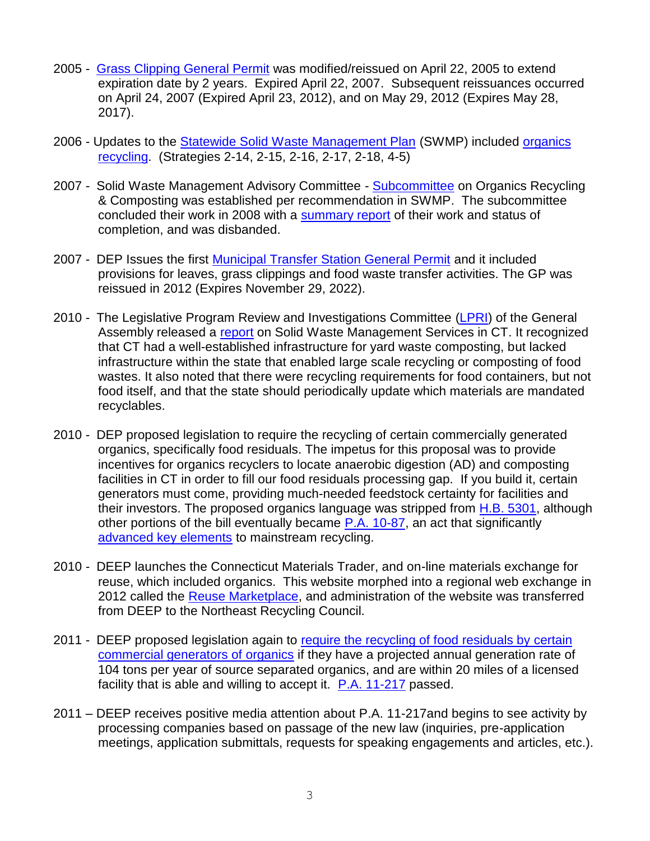- 2005 Grass Clipping [General Permit](http://www.ct.gov/deep/cwp/view.asp?a=2709&q=324210&deepNav_GID=1643#GrassClippingsGP) was modified/reissued on April 22, 2005 to extend expiration date by 2 years. Expired April 22, 2007. Subsequent reissuances occurred on April 24, 2007 (Expired April 23, 2012), and on May 29, 2012 (Expires May 28, 2017).
- 2006 Updates to the [Statewide Solid Waste Management Plan](http://www.ct.gov/deep/cwp/view.asp?a=2718&q=325482&deepNav_GID=1639) (SWMP) included organics [recycling.](http://www.ct.gov/deep/lib/deep/waste_management_and_disposal/solid_waste_management_plan/subcommitttee_organics_recycling_and_composting.pdf) (Strategies 2-14, 2-15, 2-16, 2-17, 2-18, 4-5)
- 2007 Solid Waste Management Advisory Committee [Subcommittee](http://www.ct.gov/deep/cwp/view.asp?a=2718&q=379318&deepNav_GID=1646) on Organics Recycling & Composting was established per recommendation in SWMP. The subcommittee concluded their work in 2008 with a [summary report](http://www.ct.gov/deep/lib/deep/waste_management_and_disposal/solid_waste_management_plan/sept08/summary_of_subcommittee_work_to_date_sept_2008_final.pdf) of their work and status of completion, and was disbanded.
- 2007 DEP Issues the first [Municipal Transfer Station General Permit](http://www.ct.gov/deep/cwp/view.asp?a=2709&q=324210&deepNav_GID=1643#MunicipalGP) and it included provisions for leaves, grass clippings and food waste transfer activities. The GP was reissued in 2012 (Expires November 29, 2022).
- 2010 The Legislative Program Review and Investigations Committee [\(LPRI\)](http://www.cga.ct.gov/pri/) of the General Assembly released a [report](http://www.cga.ct.gov/2009/pridata/Studies/PDF/MSW_Services_Final_Report.pdf) on Solid Waste Management Services in CT. It recognized that CT had a well-established infrastructure for yard waste composting, but lacked infrastructure within the state that enabled large scale recycling or composting of food wastes. It also noted that there were recycling requirements for food containers, but not food itself, and that the state should periodically update which materials are mandated recyclables.
- 2010 DEP proposed legislation to require the recycling of certain commercially generated organics, specifically food residuals. The impetus for this proposal was to provide incentives for organics recyclers to locate anaerobic digestion (AD) and composting facilities in CT in order to fill our food residuals processing gap. If you build it, certain generators must come, providing much-needed feedstock certainty for facilities and their investors. The proposed organics language was stripped from [H.B. 5301,](http://www.cga.ct.gov/asp/cgabillstatus/cgabillstatus.asp?selBillType=Bill&bill_num=5301&which_year=2010&SUBMIT1.x=9&SUBMIT1.y=9) although other portions of the bill eventually became P.A. [10-87,](http://www.cga.ct.gov/2010/ACT/Pa/pdf/2010PA-00087-R00HB-05120-PA.pdf) an act that significantly [advanced key elements](http://www.ct.gov/deep/cwp/view.asp?a=2714&q=466122&deepNav_GID=1645) to mainstream recycling.
- 2010 DEEP launches the Connecticut Materials Trader, and on-line materials exchange for reuse, which included organics. This website morphed into a regional web exchange in 2012 called the [Reuse Marketplace,](http://www.reusemarketplace.org/) and administration of the website was transferred from DEEP to the Northeast Recycling Council.
- 2011 DEEP proposed legislation again to [require the recycling of food residuals by certain](http://www.ct.gov/deep/cwp/view.asp?a=2718&q=552676&deepNav_GID=1645)  [commercial generators of organics](http://www.ct.gov/deep/cwp/view.asp?a=2718&q=552676&deepNav_GID=1645) if they have a projected annual generation rate of 104 tons per year of source separated organics, and are within 20 miles of a licensed facility that is able and willing to accept it. P.A. [11-217](http://www.cga.ct.gov/2011/ACT/Pa/pdf/2011PA-00217-R00SB-01116-PA.pdf) passed.
- 2011 DEEP receives positive media attention about P.A. 11-217and begins to see activity by processing companies based on passage of the new law (inquiries, pre-application meetings, application submittals, requests for speaking engagements and articles, etc.).